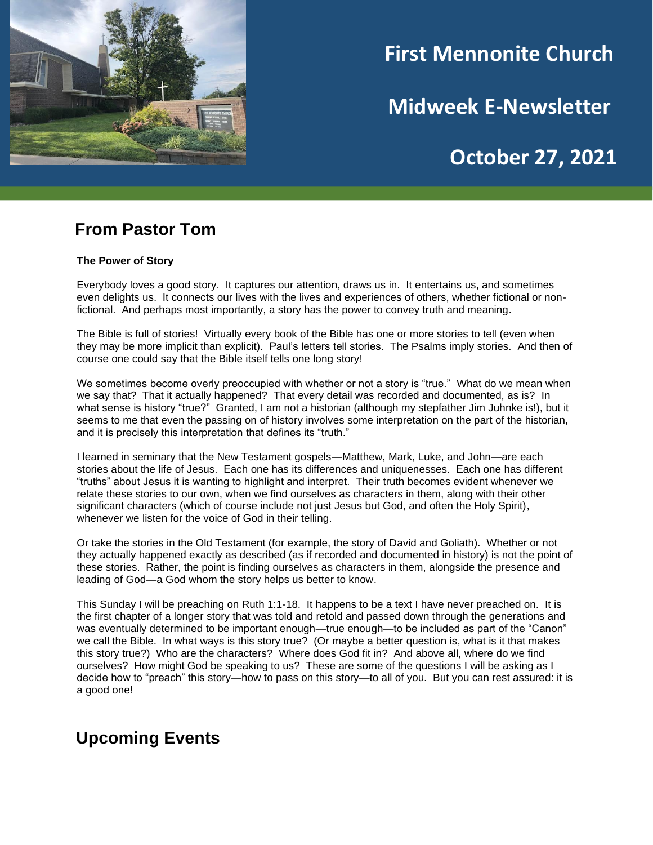

# **First Mennonite Church**

**Midweek E-Newsletter**

## **October 27, 2021**

**202120212021**

### **From Pastor Tom**

#### **The Power of Story**

Everybody loves a good story. It captures our attention, draws us in. It entertains us, and sometimes even delights us. It connects our lives with the lives and experiences of others, whether fictional or nonfictional. And perhaps most importantly, a story has the power to convey truth and meaning.

The Bible is full of stories! Virtually every book of the Bible has one or more stories to tell (even when they may be more implicit than explicit). Paul's letters tell stories. The Psalms imply stories. And then of course one could say that the Bible itself tells one long story!

We sometimes become overly preoccupied with whether or not a story is "true." What do we mean when we say that? That it actually happened? That every detail was recorded and documented, as is? In what sense is history "true?" Granted, I am not a historian (although my stepfather Jim Juhnke is!), but it seems to me that even the passing on of history involves some interpretation on the part of the historian, and it is precisely this interpretation that defines its "truth."

I learned in seminary that the New Testament gospels—Matthew, Mark, Luke, and John—are each stories about the life of Jesus. Each one has its differences and uniquenesses. Each one has different "truths" about Jesus it is wanting to highlight and interpret. Their truth becomes evident whenever we relate these stories to our own, when we find ourselves as characters in them, along with their other significant characters (which of course include not just Jesus but God, and often the Holy Spirit), whenever we listen for the voice of God in their telling.

Or take the stories in the Old Testament (for example, the story of David and Goliath). Whether or not they actually happened exactly as described (as if recorded and documented in history) is not the point of these stories. Rather, the point is finding ourselves as characters in them, alongside the presence and leading of God—a God whom the story helps us better to know.

This Sunday I will be preaching on Ruth 1:1-18. It happens to be a text I have never preached on. It is the first chapter of a longer story that was told and retold and passed down through the generations and was eventually determined to be important enough—true enough—to be included as part of the "Canon" we call the Bible. In what ways is this story true? (Or maybe a better question is, what is it that makes this story true?) Who are the characters? Where does God fit in? And above all, where do we find ourselves? How might God be speaking to us? These are some of the questions I will be asking as I decide how to "preach" this story—how to pass on this story—to all of you. But you can rest assured: it is a good one!

### **Upcoming Events**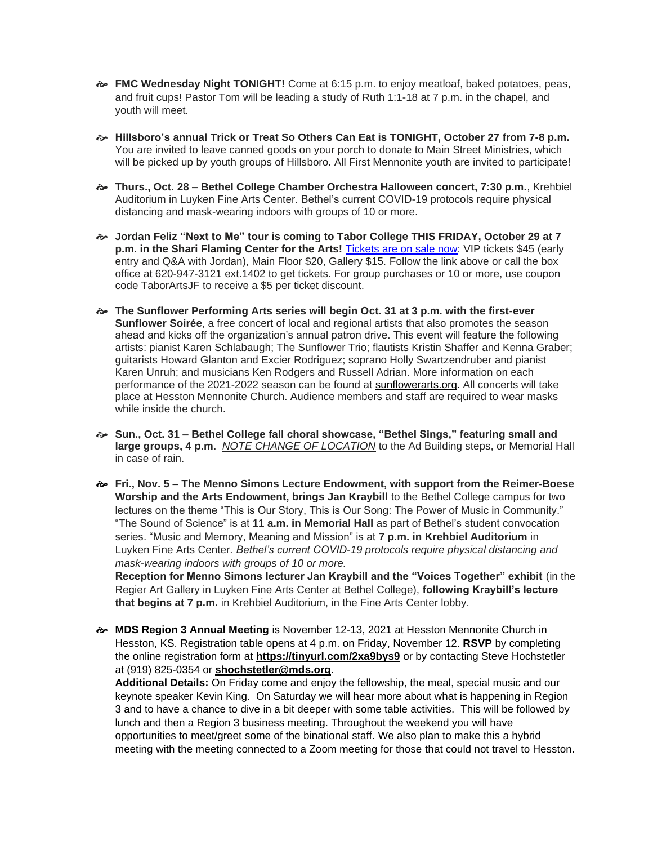- **FMC Wednesday Night TONIGHT!** Come at 6:15 p.m. to enjoy meatloaf, baked potatoes, peas, and fruit cups! Pastor Tom will be leading a study of Ruth 1:1-18 at 7 p.m. in the chapel, and youth will meet.
- **Hillsboro's annual Trick or Treat So Others Can Eat is TONIGHT, October 27 from 7-8 p.m.**  You are invited to leave canned goods on your porch to donate to Main Street Ministries, which will be picked up by youth groups of Hillsboro. All First Mennonite youth are invited to participate!
- **Thurs., Oct. 28 – Bethel College Chamber Orchestra Halloween concert, 7:30 p.m.**, Krehbiel Auditorium in Luyken Fine Arts Center. Bethel's current COVID-19 protocols require physical distancing and mask-wearing indoors with groups of 10 or more.
- **Jordan Feliz "Next to Me" tour is coming to Tabor College THIS FRIDAY, October 29 at 7 p.m. in the Shari Flaming Center for the Arts!** [Tickets are on sale now:](https://tabor.universitytickets.com/w/event.aspx?id=1523&r=ad091ac1ff3a49beab299adb20854950) VIP tickets \$45 (early entry and Q&A with Jordan), Main Floor \$20, Gallery \$15. Follow the link above or call the box office at 620-947-3121 ext.1402 to get tickets. For group purchases or 10 or more, use coupon code TaborArtsJF to receive a \$5 per ticket discount.
- **The Sunflower Performing Arts series will begin Oct. 31 at 3 p.m. with the first-ever Sunflower Soirée**, a free concert of local and regional artists that also promotes the season ahead and kicks off the organization's annual patron drive. This event will feature the following artists: pianist Karen Schlabaugh; The Sunflower Trio; flautists Kristin Shaffer and Kenna Graber; guitarists Howard Glanton and Excier Rodriguez; soprano Holly Swartzendruber and pianist Karen Unruh; and musicians Ken Rodgers and Russell Adrian. More information on each performance of the 2021-2022 season can be found at [sunflowerarts.org.](https://www.hesston.edu/sunflower-performing-arts/) All concerts will take place at Hesston Mennonite Church. Audience members and staff are required to wear masks while inside the church.
- **Sun., Oct. 31 – Bethel College fall choral showcase, "Bethel Sings," featuring small and large groups, 4 p.m.** *NOTE CHANGE OF LOCATION* to the Ad Building steps, or Memorial Hall in case of rain.
- **Fri., Nov. 5 – The Menno Simons Lecture Endowment, with support from the Reimer-Boese Worship and the Arts Endowment, brings Jan Kraybill** to the Bethel College campus for two lectures on the theme "This is Our Story, This is Our Song: The Power of Music in Community." "The Sound of Science" is at **11 a.m. in Memorial Hall** as part of Bethel's student convocation series. "Music and Memory, Meaning and Mission" is at **7 p.m. in Krehbiel Auditorium** in Luyken Fine Arts Center. *Bethel's current COVID-19 protocols require physical distancing and mask-wearing indoors with groups of 10 or more.*

**Reception for Menno Simons lecturer Jan Kraybill and the "Voices Together" exhibit** (in the Regier Art Gallery in Luyken Fine Arts Center at Bethel College), **following Kraybill's lecture that begins at 7 p.m.** in Krehbiel Auditorium, in the Fine Arts Center lobby.

 **MDS Region 3 Annual Meeting** is November 12-13, 2021 at Hesston Mennonite Church in Hesston, KS. Registration table opens at 4 p.m. on Friday, November 12. **RSVP** by completing the online registration form at **[https://tinyurl.com/2xa9bys9](https://r20.rs6.net/tn.jsp?f=001Ies4oAkwWVxR74V5CLBH_XPMFRLbzqAsWvd0bwg5DgCtaaQDvzhCbiQT95p1F7j9GYo2IN4nWB2xCw2cSjZX9284UGmEMGfMO7cptqs6RRPW3HBXYtBDMbm-CmL6RN-VUWd_LuraOB69PWl3ke9JrmmqyLIxDBJk&c=29Vx49HcS6VuMzZw4j-md_lNu8D2Mr-R2eArpl_a0b7ZTra0aqme6Q==&ch=pxRrqVHYaf1QsLaDEMAdO8iFoPOtj4tE5NPsz1oJYn-gTd0JyCuH9A==)** or by contacting Steve Hochstetler at (919) 825-0354 or **[shochstetler@mds.org](mailto:shochstetler@mds.org)**.

**Additional Details:** On Friday come and enjoy the fellowship, the meal, special music and our keynote speaker Kevin King. On Saturday we will hear more about what is happening in Region 3 and to have a chance to dive in a bit deeper with some table activities. This will be followed by lunch and then a Region 3 business meeting. Throughout the weekend you will have opportunities to meet/greet some of the binational staff. We also plan to make this a hybrid meeting with the meeting connected to a Zoom meeting for those that could not travel to Hesston.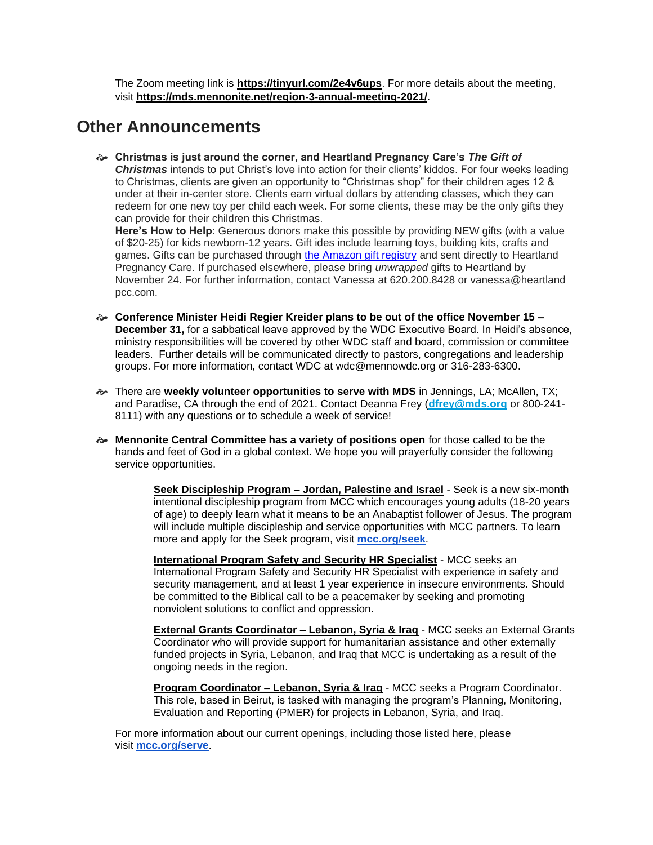The Zoom meeting link is **[https://tinyurl.com/2e4v6ups](https://r20.rs6.net/tn.jsp?f=001Ies4oAkwWVxR74V5CLBH_XPMFRLbzqAsWvd0bwg5DgCtaaQDvzhCbrxGV8ZRwY8YzkTLL-TcbNiBlomapL5SPoROehfeZUbyL_qtxLF0m39pzGvH44T4vJ1qulFQDOF4hSTg3_CUM6Qs9-LptO5xFw==&c=29Vx49HcS6VuMzZw4j-md_lNu8D2Mr-R2eArpl_a0b7ZTra0aqme6Q==&ch=pxRrqVHYaf1QsLaDEMAdO8iFoPOtj4tE5NPsz1oJYn-gTd0JyCuH9A==)**. For more details about the meeting, visit **[https://mds.mennonite.net/region-3-annual-meeting-2021/](https://r20.rs6.net/tn.jsp?f=001Ies4oAkwWVxR74V5CLBH_XPMFRLbzqAsWvd0bwg5DgCtaaQDvzhCbiQT95p1F7j9Oq79dCzndKanIPLehQzZyYCrjhvN283KsaBdtkcJK7h1vfvNLniuoJaKVR_GhtU8a9SFFAK0pvkZ8pTUDAyxbiO4vCbTur7qdDuN5oAU0m4UtrfTH3PRc6NmXaT-zuA-&c=29Vx49HcS6VuMzZw4j-md_lNu8D2Mr-R2eArpl_a0b7ZTra0aqme6Q==&ch=pxRrqVHYaf1QsLaDEMAdO8iFoPOtj4tE5NPsz1oJYn-gTd0JyCuH9A==)**.

### **Other Announcements**

 **Christmas is just around the corner, and Heartland Pregnancy Care's** *The Gift of Christmas* intends to put Christ's love into action for their clients' kiddos. For four weeks leading to Christmas, clients are given an opportunity to "Christmas shop" for their children ages 12 & under at their in-center store. Clients earn virtual dollars by attending classes, which they can redeem for one new toy per child each week. For some clients, these may be the only gifts they can provide for their children this Christmas.

**Here's How to Help**: Generous donors make this possible by providing NEW gifts (with a value of \$20-25) for kids newborn-12 years. Gift ides include learning toys, building kits, crafts and games. Gifts can be purchased through [the Amazon gift registry](https://smile.amazon.com/registries/holiday/2Q1TGC2VUIDLP/guest-view) and sent directly to Heartland Pregnancy Care. If purchased elsewhere, please bring *unwrapped* gifts to Heartland by November 24. For further information, contact Vanessa at 620.200.8428 or vanessa@heartland pcc.com.

- **Conference Minister Heidi Regier Kreider plans to be out of the office November 15 – December 31,** for a sabbatical leave approved by the WDC Executive Board. In Heidi's absence, ministry responsibilities will be covered by other WDC staff and board, commission or committee leaders. Further details will be communicated directly to pastors, congregations and leadership groups. For more information, contact WDC at wdc@mennowdc.org or 316-283-6300.
- There are **weekly volunteer opportunities to serve with MDS** in Jennings, LA; McAllen, TX; and Paradise, CA through the end of 2021. Contact Deanna Frey (**[dfrey@mds.org](mailto:dfrey@mds.org)** or 800-241- 8111) with any questions or to schedule a week of service!
- **Mennonite Central Committee has a variety of positions open** for those called to be the hands and feet of God in a global context. We hope you will prayerfully consider the following service opportunities.

**Seek Discipleship Program – Jordan, Palestine and Israel** - Seek is a new six-month intentional discipleship program from MCC which encourages young adults (18-20 years of age) to deeply learn what it means to be an Anabaptist follower of Jesus. The program will include multiple discipleship and service opportunities with MCC partners. To learn more and apply for the Seek program, visit **[mcc.org/seek](http://mcc.org/seek)**.

**International Program Safety and Security HR Specialist** - MCC seeks an International Program Safety and Security HR Specialist with experience in safety and security management, and at least 1 year experience in insecure environments. Should be committed to the Biblical call to be a peacemaker by seeking and promoting nonviolent solutions to conflict and oppression.

**External Grants Coordinator – Lebanon, Syria & Iraq** - MCC seeks an External Grants Coordinator who will provide support for humanitarian assistance and other externally funded projects in Syria, Lebanon, and Iraq that MCC is undertaking as a result of the ongoing needs in the region.

**Program Coordinator – Lebanon, Syria & Iraq** - MCC seeks a Program Coordinator. This role, based in Beirut, is tasked with managing the program's Planning, Monitoring, Evaluation and Reporting (PMER) for projects in Lebanon, Syria, and Iraq.

For more information about our current openings, including those listed here, please visit **[mcc.org/serve](https://mcc.org/get-involved/serve/openings)**.